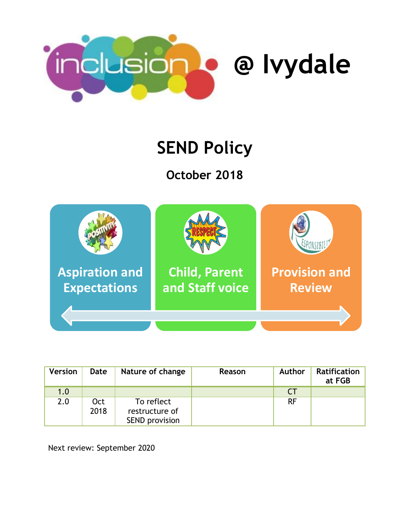

# **SEND Policy**

**October 2018**



| <b>Version</b> | Date               | Nature of change                                      | Reason | <b>Author</b> | <b>Ratification</b><br>at FGB |
|----------------|--------------------|-------------------------------------------------------|--------|---------------|-------------------------------|
| 1.0            |                    |                                                       |        | CT            |                               |
| 2.0            | <b>Oct</b><br>2018 | To reflect<br>restructure of<br><b>SEND provision</b> |        | <b>RF</b>     |                               |

Next review: September 2020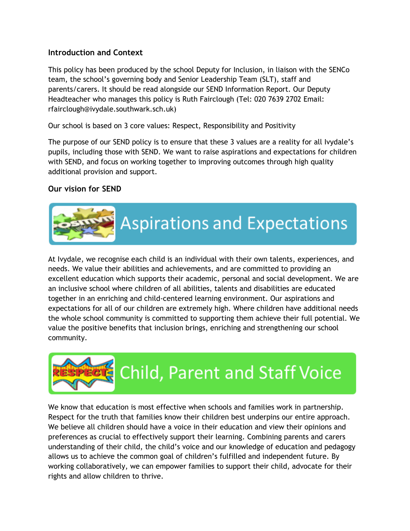## **Introduction and Context**

This policy has been produced by the school Deputy for Inclusion, in liaison with the SENCo team, the school's governing body and Senior Leadership Team (SLT), staff and parents/carers. It should be read alongside our SEND Information Report. Our Deputy Headteacher who manages this policy is Ruth Fairclough (Tel: 020 7639 2702 Email: rfairclough@ivydale.southwark.sch.uk)

Our school is based on 3 core values: Respect, Responsibility and Positivity

The purpose of our SEND policy is to ensure that these 3 values are a reality for all Ivydale's pupils, including those with SEND. We want to raise aspirations and expectations for children with SEND, and focus on working together to improving outcomes through high quality additional provision and support.

#### **Our vision for SEND**



At Ivydale, we recognise each child is an individual with their own talents, experiences, and needs. We value their abilities and achievements, and are committed to providing an excellent education which supports their academic, personal and social development. We are an inclusive school where children of all abilities, talents and disabilities are educated together in an enriching and child-centered learning environment. Our aspirations and expectations for all of our children are extremely high. Where children have additional needs the whole school community is committed to supporting them achieve their full potential. We value the positive benefits that inclusion brings, enriching and strengthening our school community.



We know that education is most effective when schools and families work in partnership. Respect for the truth that families know their children best underpins our entire approach. We believe all children should have a voice in their education and view their opinions and preferences as crucial to effectively support their learning. Combining parents and carers understanding of their child, the child's voice and our knowledge of education and pedagogy allows us to achieve the common goal of children's fulfilled and independent future. By working collaboratively, we can empower families to support their child, advocate for their rights and allow children to thrive.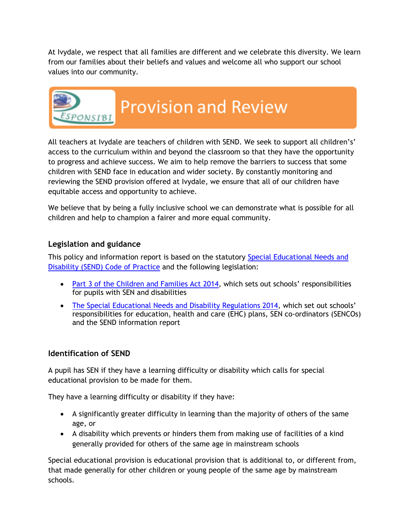At Ivydale, we respect that all families are different and we celebrate this diversity. We learn from our families about their beliefs and values and welcome all who support our school values into our community.



All teachers at Ivydale are teachers of children with SEND. We seek to support all children's' access to the curriculum within and beyond the classroom so that they have the opportunity to progress and achieve success. We aim to help remove the barriers to success that some children with SEND face in education and wider society. By constantly monitoring and reviewing the SEND provision offered at Ivydale, we ensure that all of our children have equitable access and opportunity to achieve.

We believe that by being a fully inclusive school we can demonstrate what is possible for all children and help to champion a fairer and more equal community.

# **Legislation and guidance**

This policy and information report is based on the statutory [Special Educational Needs and](https://www.gov.uk/government/uploads/system/uploads/attachment_data/file/398815/SEND_Code_of_Practice_January_2015.pdf)  [Disability \(SEND\) Code of Practice](https://www.gov.uk/government/uploads/system/uploads/attachment_data/file/398815/SEND_Code_of_Practice_January_2015.pdf) and the following legislation:

- [Part 3 of the Children and Families Act 2014](http://www.legislation.gov.uk/ukpga/2014/6/part/3), which sets out schools' responsibilities for pupils with SEN and disabilities
- [The Special Educational Needs and Disability Regulations 2014,](http://www.legislation.gov.uk/uksi/2014/1530/contents/made) which set out schools' responsibilities for education, health and care (EHC) plans, SEN co-ordinators (SENCOs) and the SEND information report

#### **Identification of SEND**

A pupil has SEN if they have a learning difficulty or disability which calls for special educational provision to be made for them.

They have a learning difficulty or disability if they have:

- A significantly greater difficulty in learning than the majority of others of the same age, or
- A disability which prevents or hinders them from making use of facilities of a kind generally provided for others of the same age in mainstream schools

Special educational provision is educational provision that is additional to, or different from, that made generally for other children or young people of the same age by mainstream schools.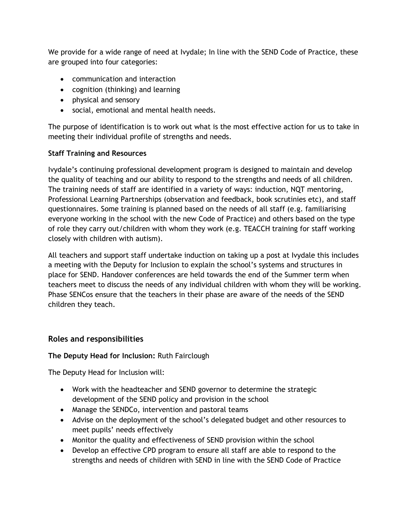We provide for a wide range of need at Ivydale; In line with the SEND Code of Practice, these are grouped into four categories:

- communication and interaction
- cognition (thinking) and learning
- physical and sensory
- social, emotional and mental health needs.

The purpose of identification is to work out what is the most effective action for us to take in meeting their individual profile of strengths and needs.

#### **Staff Training and Resources**

Ivydale's continuing professional development program is designed to maintain and develop the quality of teaching and our ability to respond to the strengths and needs of all children. The training needs of staff are identified in a variety of ways: induction, NQT mentoring, Professional Learning Partnerships (observation and feedback, book scrutinies etc), and staff questionnaires. Some training is planned based on the needs of all staff (e.g. familiarising everyone working in the school with the new Code of Practice) and others based on the type of role they carry out/children with whom they work (e.g. TEACCH training for staff working closely with children with autism).

All teachers and support staff undertake induction on taking up a post at Ivydale this includes a meeting with the Deputy for Inclusion to explain the school's systems and structures in place for SEND. Handover conferences are held towards the end of the Summer term when teachers meet to discuss the needs of any individual children with whom they will be working. Phase SENCos ensure that the teachers in their phase are aware of the needs of the SEND children they teach.

# **Roles and responsibilities**

#### **The Deputy Head for Inclusion:** Ruth Fairclough

The Deputy Head for Inclusion will:

- Work with the headteacher and SEND governor to determine the strategic development of the SEND policy and provision in the school
- Manage the SENDCo, intervention and pastoral teams
- Advise on the deployment of the school's delegated budget and other resources to meet pupils' needs effectively
- Monitor the quality and effectiveness of SEND provision within the school
- Develop an effective CPD program to ensure all staff are able to respond to the strengths and needs of children with SEND in line with the SEND Code of Practice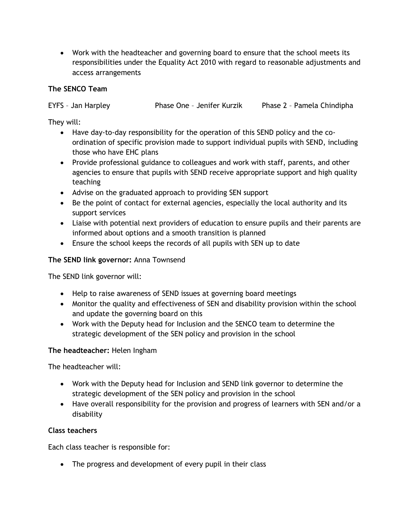Work with the headteacher and governing board to ensure that the school meets its responsibilities under the Equality Act 2010 with regard to reasonable adjustments and access arrangements

### **The SENCO Team**

EYFS – Jan Harpley Phase One – Jenifer Kurzik Phase 2 – Pamela Chindipha

They will:

- Have day-to-day responsibility for the operation of this SEND policy and the coordination of specific provision made to support individual pupils with SEND, including those who have EHC plans
- Provide professional guidance to colleagues and work with staff, parents, and other agencies to ensure that pupils with SEND receive appropriate support and high quality teaching
- Advise on the graduated approach to providing SEN support
- Be the point of contact for external agencies, especially the local authority and its support services
- Liaise with potential next providers of education to ensure pupils and their parents are informed about options and a smooth transition is planned
- Ensure the school keeps the records of all pupils with SEN up to date

# **The SEND link governor:** Anna Townsend

The SEND link governor will:

- Help to raise awareness of SEND issues at governing board meetings
- Monitor the quality and effectiveness of SEN and disability provision within the school and update the governing board on this
- Work with the Deputy head for Inclusion and the SENCO team to determine the strategic development of the SEN policy and provision in the school

# **The headteacher:** Helen Ingham

The headteacher will:

- Work with the Deputy head for Inclusion and SEND link governor to determine the strategic development of the SEN policy and provision in the school
- Have overall responsibility for the provision and progress of learners with SEN and/or a disability

# **Class teachers**

Each class teacher is responsible for:

• The progress and development of every pupil in their class